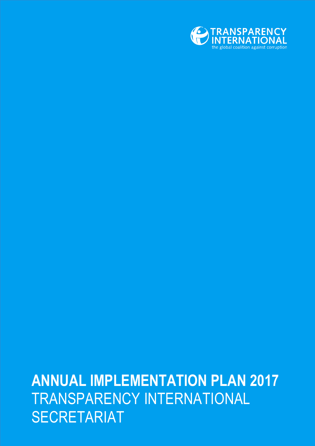

# **ANNUAL IMPLEMENTATION PLAN 2017** TRANSPARENCY INTERNATIONAL SECRETARIAT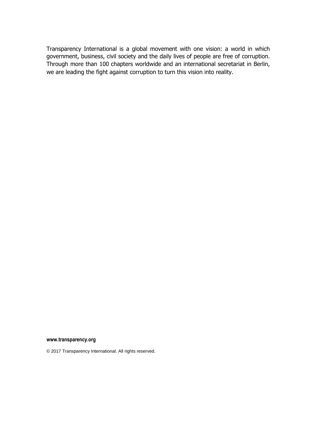Transparency International is a global movement with one vision: a world in which government, business, civil society and the daily lives of people are free of corruption. Through more than 100 chapters worldwide and an international secretariat in Berlin, we are leading the fight against corruption to turn this vision into reality.

#### **www.transparency.org**

© 2017 Transparency International. All rights reserved.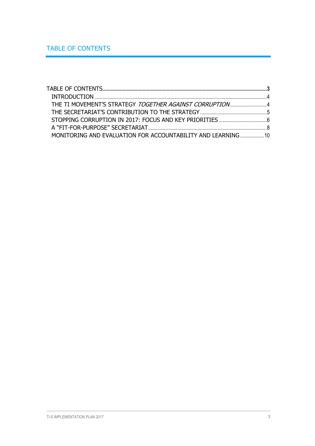<span id="page-2-0"></span>

| THE TI MOVEMENT'S STRATEGY TOGETHER AGAINST CORRUPTION4      |  |
|--------------------------------------------------------------|--|
|                                                              |  |
|                                                              |  |
|                                                              |  |
| MONITORING AND EVALUATION FOR ACCOUNTABILITY AND LEARNING 10 |  |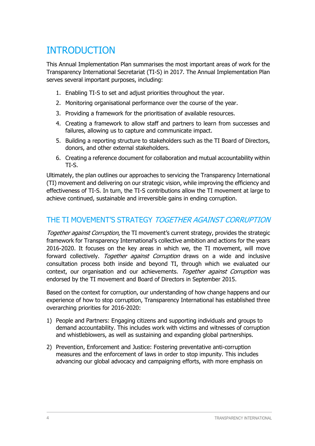# <span id="page-3-0"></span>INTRODUCTION

This Annual Implementation Plan summarises the most important areas of work for the Transparency International Secretariat (TI-S) in 2017. The Annual Implementation Plan serves several important purposes, including:

- 1. Enabling TI-S to set and adjust priorities throughout the year.
- 2. Monitoring organisational performance over the course of the year.
- 3. Providing a framework for the prioritisation of available resources.
- 4. Creating a framework to allow staff and partners to learn from successes and failures, allowing us to capture and communicate impact.
- 5. Building a reporting structure to stakeholders such as the TI Board of Directors, donors, and other external stakeholders.
- 6. Creating a reference document for collaboration and mutual accountability within TI-S.

Ultimately, the plan outlines our approaches to servicing the Transparency International (TI) movement and delivering on our strategic vision, while improving the efficiency and effectiveness of TI-S. In turn, the TI-S contributions allow the TI movement at large to achieve continued, sustainable and irreversible gains in ending corruption.

### <span id="page-3-1"></span>THE TI MOVEMENT'S STRATEGY TOGETHER AGAINST CORRUPTION

Together against Corruption, the TI movement's current strategy, provides the strategic framework for Transparency International's collective ambition and actions for the years 2016-2020. It focuses on the key areas in which we, the TI movement, will move forward collectively. Together against Corruption draws on a wide and inclusive consultation process both inside and beyond TI, through which we evaluated our context, our organisation and our achievements. Together against Corruption was endorsed by the TI movement and Board of Directors in September 2015.

Based on the context for corruption, our understanding of how change happens and our experience of how to stop corruption, Transparency International has established three overarching priorities for 2016-2020:

- 1) People and Partners: Engaging citizens and supporting individuals and groups to demand accountability. This includes work with victims and witnesses of corruption and whistleblowers, as well as sustaining and expanding global partnerships.
- 2) Prevention, Enforcement and Justice: Fostering preventative anti-corruption measures and the enforcement of laws in order to stop impunity. This includes advancing our global advocacy and campaigning efforts, with more emphasis on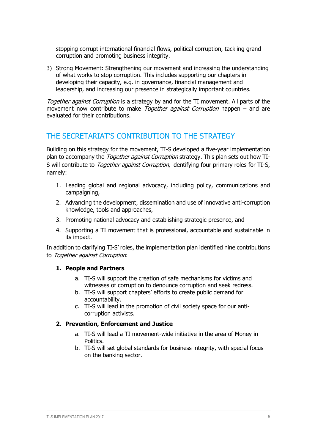stopping corrupt international financial flows, political corruption, tackling grand corruption and promoting business integrity.

3) Strong Movement: Strengthening our movement and increasing the understanding of what works to stop corruption. This includes supporting our chapters in developing their capacity, e.g. in governance, financial management and leadership, and increasing our presence in strategically important countries.

Together against Corruption is a strategy by and for the TI movement. All parts of the movement now contribute to make *Together against Corruption* happen – and are evaluated for their contributions.

### <span id="page-4-0"></span>THE SECRETARIAT'S CONTRIBUTION TO THE STRATEGY

Building on this strategy for the movement, TI-S developed a five-year implementation plan to accompany the *Together against Corruption* strategy. This plan sets out how TI-S will contribute to *Together against Corruption*, identifying four primary roles for TI-S, namely:

- 1. Leading global and regional advocacy, including policy, communications and campaigning,
- 2. Advancing the development, dissemination and use of innovative anti-corruption knowledge, tools and approaches,
- 3. Promoting national advocacy and establishing strategic presence, and
- 4. Supporting a TI movement that is professional, accountable and sustainable in its impact.

In addition to clarifying TI-S' roles, the implementation plan identified nine contributions to Together against Corruption:

### **1. People and Partners**

- a. TI-S will support the creation of safe mechanisms for victims and witnesses of corruption to denounce corruption and seek redress.
- b. TI-S will support chapters' efforts to create public demand for accountability.
- c. TI-S will lead in the promotion of civil society space for our anticorruption activists.

### **2. Prevention, Enforcement and Justice**

- a. TI-S will lead a TI movement-wide initiative in the area of Money in Politics.
- b. TI-S will set global standards for business integrity, with special focus on the banking sector.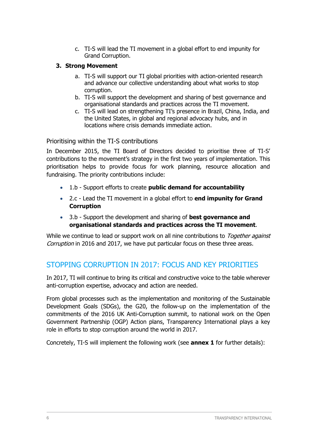c. TI-S will lead the TI movement in a global effort to end impunity for Grand Corruption.

### **3. Strong Movement**

- a. TI-S will support our TI global priorities with action-oriented research and advance our collective understanding about what works to stop corruption.
- b. TI-S will support the development and sharing of best governance and organisational standards and practices across the TI movement.
- c. TI-S will lead on strengthening TI's presence in Brazil, China, India, and the United States, in global and regional advocacy hubs, and in locations where crisis demands immediate action.

Prioritising within the TI-S contributions

In December 2015, the TI Board of Directors decided to prioritise three of TI-S' contributions to the movement's strategy in the first two years of implementation. This prioritisation helps to provide focus for work planning, resource allocation and fundraising. The priority contributions include:

- 1.b Support efforts to create **public demand for accountability**
- 2.c Lead the TI movement in a global effort to **end impunity for Grand Corruption**
- 3.b Support the development and sharing of **best governance and organisational standards and practices across the TI movement**.

While we continue to lead or support work on all nine contributions to Together against Corruption in 2016 and 2017, we have put particular focus on these three areas.

### <span id="page-5-0"></span>STOPPING CORRUPTION IN 2017: FOCUS AND KEY PRIORITIES

In 2017, TI will continue to bring its critical and constructive voice to the table wherever anti-corruption expertise, advocacy and action are needed.

From global processes such as the implementation and monitoring of the Sustainable Development Goals (SDGs), the G20, the follow-up on the implementation of the commitments of the 2016 UK Anti-Corruption summit, to national work on the Open Government Partnership (OGP) Action plans, Transparency International plays a key role in efforts to stop corruption around the world in 2017.

Concretely, TI-S will implement the following work (see **annex 1** for further details):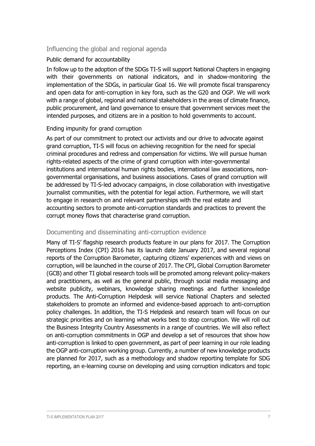### Influencing the global and regional agenda

### Public demand for accountability

In follow up to the adoption of the SDGs TI-S will support National Chapters in engaging with their governments on national indicators, and in shadow-monitoring the implementation of the SDGs, in particular Goal 16. We will promote fiscal transparency and open data for anti-corruption in key fora, such as the G20 and OGP. We will work with a range of global, regional and national stakeholders in the areas of climate finance, public procurement, and land governance to ensure that government services meet the intended purposes, and citizens are in a position to hold governments to account.

### Ending impunity for grand corruption

As part of our commitment to protect our activists and our drive to advocate against grand corruption, TI-S will focus on achieving recognition for the need for special criminal procedures and redress and compensation for victims. We will pursue human rights-related aspects of the crime of grand corruption with inter-governmental institutions and international human rights bodies, international law associations, nongovernmental organisations, and business associations. Cases of grand corruption will be addressed by TI-S-led advocacy campaigns, in close collaboration with investigative journalist communities, with the potential for legal action. Furthermore, we will start to engage in research on and relevant partnerships with the real estate and accounting sectors to promote anti-corruption standards and practices to prevent the corrupt money flows that characterise grand corruption.

### Documenting and disseminating anti-corruption evidence

Many of TI-S' flagship research products feature in our plans for 2017. The Corruption Perceptions Index (CPI) 2016 has its launch date January 2017, and several regional reports of the Corruption Barometer, capturing citizens' experiences with and views on corruption, will be launched in the course of 2017. The CPI, Global Corruption Barometer (GCB) and other TI global research tools will be promoted among relevant policy-makers and practitioners, as well as the general public, through social media messaging and website publicity, webinars, knowledge sharing meetings and further knowledge products. The Anti-Corruption Helpdesk will service National Chapters and selected stakeholders to promote an informed and evidence-based approach to anti-corruption policy challenges. In addition, the TI-S Helpdesk and research team will focus on our strategic priorities and on learning what works best to stop corruption. We will roll out the Business Integrity Country Assessments in a range of countries. We will also reflect on anti-corruption commitments in OGP and develop a set of resources that show how anti-corruption is linked to open government, as part of peer learning in our role leading the OGP anti-corruption working group. Currently, a number of new knowledge products are planned for 2017, such as a methodology and shadow reporting template for SDG reporting, an e-learning course on developing and using corruption indicators and topic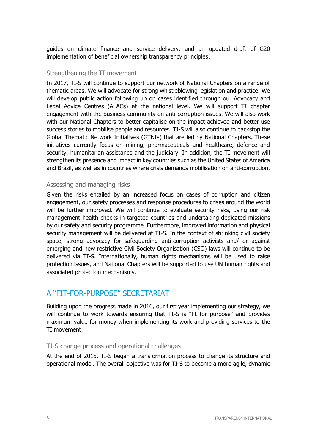guides on climate finance and service delivery, and an updated draft of G20 implementation of beneficial ownership transparency principles.

### Strengthening the TI movement

In 2017, TI-S will continue to support our network of National Chapters on a range of thematic areas. We will advocate for strong whistleblowing legislation and practice. We will develop public action following up on cases identified through our Advocacy and Legal Advice Centres (ALACs) at the national level. We will support TI chapter engagement with the business community on anti-corruption issues. We will also work with our National Chapters to better capitalise on the impact achieved and better use success stories to mobilise people and resources. TI-S will also continue to backstop the Global Thematic Network Initiatives (GTNIs) that are led by National Chapters. These initiatives currently focus on mining, pharmaceuticals and healthcare, defence and security, humanitarian assistance and the judiciary. In addition, the TI movement will strengthen its presence and impact in key countries such as the United States of America and Brazil, as well as in countries where crisis demands mobilisation on anti-corruption.

### Assessing and managing risks

Given the risks entailed by an increased focus on cases of corruption and citizen engagement, our safety processes and response procedures to crises around the world will be further improved. We will continue to evaluate security risks, using our risk management health checks in targeted countries and undertaking dedicated missions by our safety and security programme. Furthermore, improved information and physical security management will be delivered at TI-S. In the context of shrinking civil society space, strong advocacy for safeguarding anti-corruption activists and/ or against emerging and new restrictive Civil Society Organisation (CSO) laws will continue to be delivered via TI-S. Internationally, human rights mechanisms will be used to raise protection issues, and National Chapters will be supported to use UN human rights and associated protection mechanisms.

### <span id="page-7-0"></span>A "FIT-FOR-PURPOSE" SECRETARIAT

Building upon the progress made in 2016, our first year implementing our strategy, we will continue to work towards ensuring that TI-S is "fit for purpose" and provides maximum value for money when implementing its work and providing services to the TI movement.

### TI-S change process and operational challenges

At the end of 2015, TI-S began a transformation process to change its structure and operational model. The overall objective was for TI-S to become a more agile, dynamic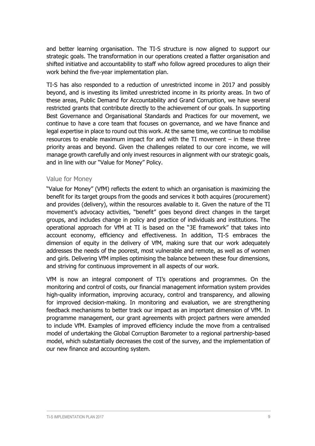and better learning organisation. The TI-S structure is now aligned to support our strategic goals. The transformation in our operations created a flatter organisation and shifted initiative and accountability to staff who follow agreed procedures to align their work behind the five-year implementation plan.

TI-S has also responded to a reduction of unrestricted income in 2017 and possibly beyond, and is investing its limited unrestricted income in its priority areas. In two of these areas, Public Demand for Accountability and Grand Corruption, we have several restricted grants that contribute directly to the achievement of our goals. In supporting Best Governance and Organisational Standards and Practices for our movement, we continue to have a core team that focuses on governance, and we have finance and legal expertise in place to round out this work. At the same time, we continue to mobilise resources to enable maximum impact for and with the TI movement – in these three priority areas and beyond. Given the challenges related to our core income, we will manage growth carefully and only invest resources in alignment with our strategic goals, and in line with our "Value for Money" Policy.

### Value for Money

"Value for Money" (VfM) reflects the extent to which an organisation is maximizing the benefit for its target groups from the goods and services it both acquires (procurement) and provides (delivery), within the resources available to it. Given the nature of the TI movement's advocacy activities, "benefit" goes beyond direct changes in the target groups, and includes change in policy and practice of individuals and institutions. The operational approach for VfM at TI is based on the "3E framework" that takes into account economy, efficiency and effectiveness. In addition, TI-S embraces the dimension of equity in the delivery of VfM, making sure that our work adequately addresses the needs of the poorest, most vulnerable and remote, as well as of women and girls. Delivering VfM implies optimising the balance between these four dimensions, and striving for continuous improvement in all aspects of our work.

VfM is now an integral component of TI's operations and programmes. On the monitoring and control of costs, our financial management information system provides high-quality information, improving accuracy, control and transparency, and allowing for improved decision-making. In monitoring and evaluation, we are strengthening feedback mechanisms to better track our impact as an important dimension of VfM. In programme management, our grant agreements with project partners were amended to include VfM. Examples of improved efficiency include the move from a centralised model of undertaking the Global Corruption Barometer to a regional partnership-based model, which substantially decreases the cost of the survey, and the implementation of our new finance and accounting system.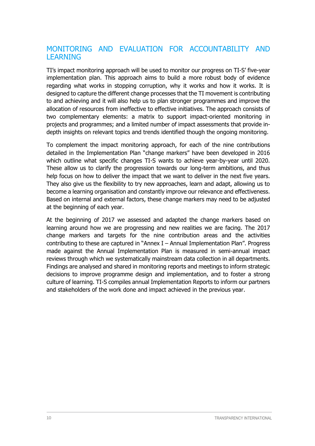### <span id="page-9-0"></span>MONITORING AND EVALUATION FOR ACCOUNTABILITY AND LEARNING

TI's impact monitoring approach will be used to monitor our progress on TI-S' five-year implementation plan. This approach aims to build a more robust body of evidence regarding what works in stopping corruption, why it works and how it works. It is designed to capture the different change processes that the TI movement is contributing to and achieving and it will also help us to plan stronger programmes and improve the allocation of resources from ineffective to effective initiatives. The approach consists of two complementary elements: a matrix to support impact-oriented monitoring in projects and programmes; and a limited number of impact assessments that provide indepth insights on relevant topics and trends identified though the ongoing monitoring.

To complement the impact monitoring approach, for each of the nine contributions detailed in the Implementation Plan "change markers" have been developed in 2016 which outline what specific changes TI-S wants to achieve year-by-year until 2020. These allow us to clarify the progression towards our long-term ambitions, and thus help focus on how to deliver the impact that we want to deliver in the next five years. They also give us the flexibility to try new approaches, learn and adapt, allowing us to become a learning organisation and constantly improve our relevance and effectiveness. Based on internal and external factors, these change markers may need to be adjusted at the beginning of each year.

At the beginning of 2017 we assessed and adapted the change markers based on learning around how we are progressing and new realities we are facing. The 2017 change markers and targets for the nine contribution areas and the activities contributing to these are captured in "Annex I – Annual Implementation Plan". Progress made against the Annual Implementation Plan is measured in semi-annual impact reviews through which we systematically mainstream data collection in all departments. Findings are analysed and shared in monitoring reports and meetings to inform strategic decisions to improve programme design and implementation, and to foster a strong culture of learning. TI-S compiles annual Implementation Reports to inform our partners and stakeholders of the work done and impact achieved in the previous year.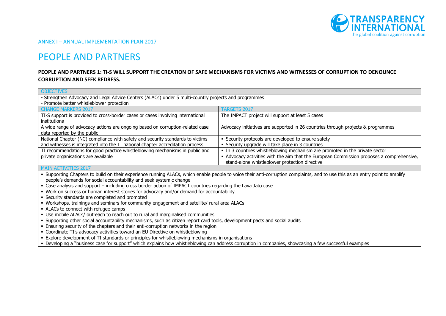

ANNEX I – ANNUAL IMPLEMENTATION PLAN 2017

# PEOPLE AND PARTNERS

### **PEOPLE AND PARTNERS 1: TI-S WILL SUPPORT THE CREATION OF SAFE MECHANISMS FOR VICTIMS AND WITNESSES OF CORRUPTION TO DENOUNCE CORRUPTION AND SEEK REDRESS.**

| <b>OBJECTIVES</b>                                                                                                                                                             |                                                                                           |  |  |
|-------------------------------------------------------------------------------------------------------------------------------------------------------------------------------|-------------------------------------------------------------------------------------------|--|--|
| - Strengthen Advocacy and Legal Advice Centers (ALACs) under 5 multi-country projects and programmes                                                                          |                                                                                           |  |  |
| - Promote better whistleblower protection                                                                                                                                     |                                                                                           |  |  |
| <b>CHANGE MARKERS 2017</b>                                                                                                                                                    | TARGETS 2017                                                                              |  |  |
| TI-S support is provided to cross-border cases or cases involving international                                                                                               | The IMPACT project will support at least 5 cases                                          |  |  |
| <i>institutions</i>                                                                                                                                                           |                                                                                           |  |  |
| A wide range of advocacy actions are ongoing based on corruption-related case                                                                                                 | Advocacy initiatives are supported in 26 countries through projects & programmes          |  |  |
| data reported by the public                                                                                                                                                   |                                                                                           |  |  |
| National Chapter (NC) compliance with safety and security standards to victims<br>• Security protocols are developed to ensure safety                                         |                                                                                           |  |  |
| and witnesses is integrated into the TI national chapter accreditation process<br>• Security upgrade will take place in 3 countries                                           |                                                                                           |  |  |
| TI recommendations for good practice whistleblowing mechanisms in public and                                                                                                  | • In 3 countries whistleblowing mechanism are promoted in the private sector              |  |  |
| private organisations are available                                                                                                                                           | - Advocacy activities with the aim that the European Commission proposes a comprehensive, |  |  |
|                                                                                                                                                                               | stand-alone whistleblower protection directive                                            |  |  |
| <b>MAIN ACTIVITIES 2017</b>                                                                                                                                                   |                                                                                           |  |  |
| . Supporting Chapters to build on their experience running ALACs, which enable people to voice their anti-corruption complaints, and to use this as an entry point to amplify |                                                                                           |  |  |
| people's demands for social accountability and seek systemic change                                                                                                           |                                                                                           |  |  |
| - Case analysis and support - including cross border action of IMPACT countries regarding the Lava Jato case                                                                  |                                                                                           |  |  |
| . Work on success or human interest stories for advocacy and/or demand for accountability                                                                                     |                                                                                           |  |  |
| • Security standards are completed and promoted                                                                                                                               |                                                                                           |  |  |
| • Workshops, trainings and seminars for community engagement and satellite/ rural area ALACs                                                                                  |                                                                                           |  |  |
| • ALACs to connect with refugee camps                                                                                                                                         |                                                                                           |  |  |
| • Use mobile ALACs/ outreach to reach out to rural and marginalised communities                                                                                               |                                                                                           |  |  |
| - Supporting other social accountability mechanisms, such as citizen report card tools, development pacts and social audits                                                   |                                                                                           |  |  |
| . Ensuring security of the chapters and their anti-corruption networks in the region                                                                                          |                                                                                           |  |  |

- Coordinate TI's advocacy activities toward an EU Directive on whistleblowing
- Explore development of TI standards or principles for whistleblowing mechanisms in organisations
- Developing a "business case for support" which explains how whistleblowing can address corruption in companies, showcasing a few successful examples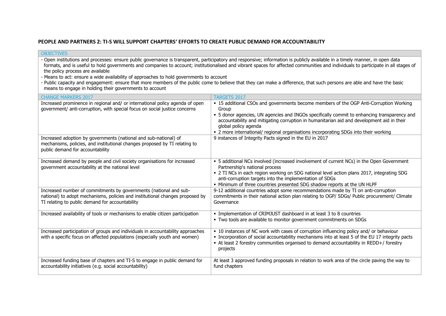### **PEOPLE AND PARTNERS 2: TI-S WILL SUPPORT CHAPTERS' EFFORTS TO CREATE PUBLIC DEMAND FOR ACCOUNTABILITY**

**OBJECTIVES** 

| the policy process are available<br>- Means to act: ensure a wide availability of approaches to hold governments to account<br>means to engage in holding their governments to account                | - Public capacity and engagement: ensure that more members of the public come to believe that they can make a difference, that such persons are able and have the basic                                                                                                                                                                                                                                     |
|-------------------------------------------------------------------------------------------------------------------------------------------------------------------------------------------------------|-------------------------------------------------------------------------------------------------------------------------------------------------------------------------------------------------------------------------------------------------------------------------------------------------------------------------------------------------------------------------------------------------------------|
| <b>CHANGE MARKERS 2017</b>                                                                                                                                                                            | <b>TARGETS 2017</b>                                                                                                                                                                                                                                                                                                                                                                                         |
| Increased prominence in regional and/ or international policy agenda of open<br>government/ anti-corruption, with special focus on social justice concerns                                            | • 15 additional CSOs and governments become members of the OGP Anti-Corruption Working<br>Group<br>• 5 donor agencies, UN agencies and INGOs specifically commit to enhancing transparency and<br>accountability and mitigating corruption in humanitarian aid and development aid in their<br>global policy agenda<br>• 2 more international/ regional organisations incorporating SDGs into their working |
| Increased adoption by governments (national and sub-national) of<br>mechanisms, policies, and institutional changes proposed by TI relating to<br>public demand for accountability                    | 9 instances of Integrity Pacts signed in the EU in 2017                                                                                                                                                                                                                                                                                                                                                     |
| Increased demand by people and civil society organisations for increased<br>government accountability at the national level                                                                           | • 5 additional NCs involved (increased involvement of current NCs) in the Open Government<br>Partnership's national process<br>- 2 TI NCs in each region working on SDG national level action plans 2017, integrating SDG<br>anti-corruption targets into the implementation of SDGs<br>. Minimum of three countries presented SDG shadow reports at the UN HLPF                                            |
| Increased number of commitments by governments (national and sub-<br>national) to adopt mechanisms, policies and institutional changes proposed by<br>TI relating to public demand for accountability | 9-12 additional countries adopt some recommendations made by TI on anti-corruption<br>commitments in their national action plan relating to OGP/ SDGs/ Public procurement/ Climate<br>Governance                                                                                                                                                                                                            |
| Increased availability of tools or mechanisms to enable citizen participation                                                                                                                         | • Implementation of CRIMJUST dashboard in at least 3 to 8 countries<br>. Two tools are available to monitor government commitments on SDGs                                                                                                                                                                                                                                                                  |
| Increased participation of groups and individuals in accountability approaches<br>with a specific focus on affected populations (especially youth and women)                                          | • 10 instances of NC work with cases of corruption influencing policy and/ or behaviour<br>• Incorporation of social accountability mechanisms into at least 5 of the EU 17 integrity pacts<br>- At least 2 forestry communities organised to demand accountability in REDD+/ forestry<br>projects                                                                                                          |
| Increased funding base of chapters and TI-S to engage in public demand for<br>accountability initiatives (e.g. social accountability)                                                                 | At least 3 approved funding proposals in relation to work area of the circle paving the way to<br>fund chapters                                                                                                                                                                                                                                                                                             |

- Open institutions and processes: ensure public governance is transparent, participatory and responsive; information is publicly available in a timely manner, in open data formats, and is useful to hold governments and companies to account; institutionalised and vibrant spaces for affected communities and individuals to participate in all stages of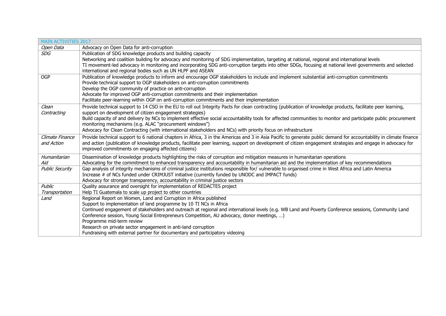| <b>MAIN ACTIVITIES 2017</b> |                                                                                                                                                                     |
|-----------------------------|---------------------------------------------------------------------------------------------------------------------------------------------------------------------|
| Open Data                   | Advocacy on Open Data for anti-corruption                                                                                                                           |
| <b>SDG</b>                  | Publication of SDG knowledge products and building capacity                                                                                                         |
|                             | Networking and coalition building for advocacy and monitoring of SDG implementation, targeting at national, regional and international levels                       |
|                             | TI movement-led advocacy in monitoring and incorporating SDG anti-corruption targets into other SDGs, focusing at national level governments and selected           |
|                             | international and regional bodies such as UN HLPF and ASEAN                                                                                                         |
| <b>OGP</b>                  | Publication of knowledge products to inform and encourage OGP stakeholders to include and implement substantial anti-corruption commitments                         |
|                             | Provide technical support to OGP stakeholders on anti-corruption commitments                                                                                        |
|                             | Develop the OGP community of practice on anti-corruption                                                                                                            |
|                             | Advocate for improved OGP anti-corruption commitments and their implementation                                                                                      |
|                             | Facilitate peer-learning within OGP on anti-corruption commitments and their implementation                                                                         |
| Clean                       | Provide technical support to 14 CSO in the EU to roll out Integrity Pacts for clean contracting (publication of knowledge products, facilitate peer learning,       |
| Contracting                 | support on development of citizen engagement strategies)                                                                                                            |
|                             | Build capacity of and delivery by NCs to implement effective social accountability tools for affected communities to monitor and participate public procurement     |
|                             | monitoring mechanisms (e.g. ALAC "procurement windows")                                                                                                             |
|                             | Advocacy for Clean Contracting (with international stakeholders and NCs) with priority focus on infrastructure                                                      |
| Climate Finance             | Provide technical support to 6 national chapters in Africa, 3 in the Americas and 3 in Asia Pacific to generate public demand for accountability in climate finance |
| and Action                  | and action (publication of knowledge products, facilitate peer learning, support on development of citizen engagement strategies and engage in advocacy for         |
|                             | improved commitments on engaging affected citizens)                                                                                                                 |
| Humanitarian                | Dissemination of knowledge products highlighting the risks of corruption and mitigation measures in humanitarian operations                                         |
| Aid                         | Advocating for the commitment to enhanced transparency and accountability in humanitarian aid and the implementation of key recommendations                         |
| <b>Public Security</b>      | Gap analysis of integrity mechanisms of criminal justice institutions responsible for/ vulnerable to organised crime in West Africa and Latin America               |
|                             | Increase # of NCs funded under CRIMJUST initiative (currently funded by UNODC and IMPACT funds)                                                                     |
|                             | Advocacy for stronger transparency, accountability in criminal justice sectors                                                                                      |
| Public                      | Quality assurance and oversight for implementation of REDACTES project                                                                                              |
| Transportation              | Help TI Guatemala to scale up project to other countries                                                                                                            |
| Land                        | Regional Report on Women, Land and Corruption in Africa published                                                                                                   |
|                             | Support to implementation of land programme by 10 TI NCs in Africa                                                                                                  |
|                             | Continued engagement of stakeholders and outreach at regional and international levels (e.g. WB Land and Poverty Conference sessions, Community Land                |
|                             | Conference session, Young Social Entrepreneurs Competition, AU advocacy, donor meetings, )                                                                          |
|                             | Programme mid-term review                                                                                                                                           |
|                             | Research on private sector engagement in anti-land corruption                                                                                                       |
|                             | Fundraising with external partner for documentary and participatory videoing                                                                                        |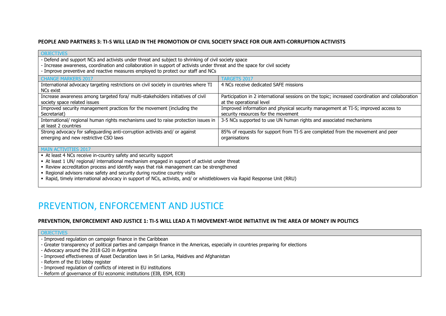#### **PEOPLE AND PARTNERS 3: TI-S WILL LEAD IN THE PROMOTION OF CIVIL SOCIETY SPACE FOR OUR ANTI-CORRUPTION ACTIVISTS**

| <b>OBJECTIVES</b>                                                                                                                                                                                                                                                                                                                                                                                                                                                          |                                                                                                                              |  |
|----------------------------------------------------------------------------------------------------------------------------------------------------------------------------------------------------------------------------------------------------------------------------------------------------------------------------------------------------------------------------------------------------------------------------------------------------------------------------|------------------------------------------------------------------------------------------------------------------------------|--|
| - Defend and support NCs and activists under threat and subject to shrinking of civil society space<br>- Increase awareness, coordination and collaboration in support of activists under threat and the space for civil society<br>- Improve preventive and reactive measures employed to protect our staff and NCs                                                                                                                                                       |                                                                                                                              |  |
| <b>CHANGE MARKERS 2017</b><br><b>TARGETS 2017</b>                                                                                                                                                                                                                                                                                                                                                                                                                          |                                                                                                                              |  |
| International advocacy targeting restrictions on civil society in countries where TI<br>NCs exist                                                                                                                                                                                                                                                                                                                                                                          | 4 NCs receive dedicated SAFE missions                                                                                        |  |
| Increase awareness among targeted fora/ multi-stakeholders initiatives of civil<br>society space related issues                                                                                                                                                                                                                                                                                                                                                            | Participation in 2 international sessions on the topic; increased coordination and collaboration<br>at the operational level |  |
| Improved security management practices for the movement (including the<br>Secretariat)                                                                                                                                                                                                                                                                                                                                                                                     | Improved information and physical security management at TI-S; improved access to<br>security resources for the movement     |  |
| International/ regional human rights mechanisms used to raise protection issues in<br>3-5 NCs supported to use UN human rights and associated mechanisms<br>at least 2 countries                                                                                                                                                                                                                                                                                           |                                                                                                                              |  |
| Strong advocacy for safeguarding anti-corruption activists and/ or against<br>85% of requests for support from TI-S are completed from the movement and peer<br>emerging and new restrictive CSO laws<br>organisations                                                                                                                                                                                                                                                     |                                                                                                                              |  |
| <b>MAIN ACTIVITIES 2017</b>                                                                                                                                                                                                                                                                                                                                                                                                                                                |                                                                                                                              |  |
| • At least 4 NCs receive in-country safety and security support<br>• At least 1 UN/ regional/ international mechanism engaged in support of activist under threat<br>- Review accreditation process and identify ways that risk management can be strengthened<br>. Regional advisors raise safety and security during routine country visits<br>- Rapid, timely international advocacy in support of NCs, activists, and/ or whistleblowers via Rapid Response Unit (RRU) |                                                                                                                              |  |

# PREVENTION, ENFORCEMENT AND JUSTICE

#### **PREVENTION, ENFORCEMENT AND JUSTICE 1: TI-S WILL LEAD A TI MOVEMENT-WIDE INITIATIVE IN THE AREA OF MONEY IN POLITICS**

| OBJECTIVES |  |  |  |
|------------|--|--|--|

- Improved regulation on campaign finance in the Caribbean

- Greater transparency of political parties and campaign finance in the Americas, especially in countries preparing for elections

- Advocacy around the 2018 G20 in Argentina

- Improved effectiveness of Asset Declaration laws in Sri Lanka, Maldives and Afghanistan

- Reform of the EU lobby register

- Improved regulation of conflicts of interest in EU institutions

- Reform of governance of EU economic institutions (EIB, ESM, ECB)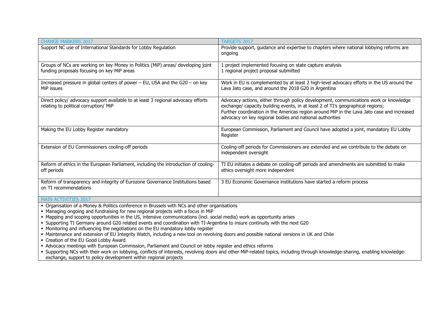| <b>CHANGE MARKERS 2017</b>                                                                                                                                                                                                                                                                | <b>TARGETS 2017</b>                                                                                                                                                                                                                                                                                                                |  |
|-------------------------------------------------------------------------------------------------------------------------------------------------------------------------------------------------------------------------------------------------------------------------------------------|------------------------------------------------------------------------------------------------------------------------------------------------------------------------------------------------------------------------------------------------------------------------------------------------------------------------------------|--|
| Support NC use of International Standards for Lobby Regulation                                                                                                                                                                                                                            | Provide support, guidance and expertise to chapters where national lobbying reforms are<br>ongoing                                                                                                                                                                                                                                 |  |
| Groups of NCs are working on key Money in Politics (MiP) areas/ developing joint<br>funding proposals focusing on key MiP areas                                                                                                                                                           | 1 project implemented focusing on state capture analysis<br>1 regional project proposal submitted                                                                                                                                                                                                                                  |  |
| Increased pressure in global centers of power $-$ EU, USA and the G20 $-$ on key<br>MiP issues                                                                                                                                                                                            | Work in EU is complemented by at least 2 high-level advocacy efforts in the US around the<br>Lava Jato case, and around the 2018 G20 in Argentina                                                                                                                                                                                  |  |
| Direct policy/ advocacy support available to at least 3 regional advocacy efforts<br>relating to political corruption/ MiP                                                                                                                                                                | Advocacy actions, either through policy development, communications work or knowledge<br>exchange/ capacity building events, in at least 2 of TI's geographical regions;<br>Further coordination in the Americas region around MiP in the Lava Jato case and increased<br>advocacy on key regional bodies and national authorities |  |
| Making the EU Lobby Register mandatory                                                                                                                                                                                                                                                    | European Commission, Parliament and Council have adopted a joint, mandatory EU Lobby<br>Register                                                                                                                                                                                                                                   |  |
| Extension of EU Commissioners cooling-off periods                                                                                                                                                                                                                                         | Cooling-off periods for Commissioners are extended and we contribute to the debate on<br>independent oversight                                                                                                                                                                                                                     |  |
| Reform of ethics in the European Parliament, including the introduction of cooling-<br>off periods                                                                                                                                                                                        | TI EU initiates a debate on cooling-off periods and amendments are submitted to make<br>ethics oversight more independent                                                                                                                                                                                                          |  |
| Reform of transparency and integrity of Eurozone Governance Institutions based<br>on TI recommendations                                                                                                                                                                                   | 3 EU Economic Governance institutions have started a reform process                                                                                                                                                                                                                                                                |  |
| <b>MAIN ACTIVITIES 2017</b>                                                                                                                                                                                                                                                               |                                                                                                                                                                                                                                                                                                                                    |  |
| • Organisation of a Money & Politics conference in Brussels with NCs and other organisations                                                                                                                                                                                              |                                                                                                                                                                                                                                                                                                                                    |  |
| • Managing ongoing and fundraising for new regional projects with a focus in MiP                                                                                                                                                                                                          |                                                                                                                                                                                                                                                                                                                                    |  |
| • Mapping and scoping opportunities in the US, intensive communications (incl. social media) work as opportunity arises<br>• Supporting TI Germany around G20 related events and coordination with TI-Argentina to insure continuity with the next G20                                    |                                                                                                                                                                                                                                                                                                                                    |  |
| • Monitoring and influencing the negotiations on the EU mandatory lobby register                                                                                                                                                                                                          |                                                                                                                                                                                                                                                                                                                                    |  |
| • Maintenance and extension of EU Integrity Watch, including a new tool on revolving doors and possible national versions in UK and Chile                                                                                                                                                 |                                                                                                                                                                                                                                                                                                                                    |  |
| • Creation of the EU Good Lobby Award                                                                                                                                                                                                                                                     |                                                                                                                                                                                                                                                                                                                                    |  |
| - Advocacy meetings with European Commission, Parliament and Council on lobby register and ethics reforms<br>· Supporting NCs with their work on lobbying, conflicts of interests, revolving doors and other MiP-related topics, including through knowledge-sharing, enabling knowledge- |                                                                                                                                                                                                                                                                                                                                    |  |
| exchange, support to policy development within regional projects                                                                                                                                                                                                                          |                                                                                                                                                                                                                                                                                                                                    |  |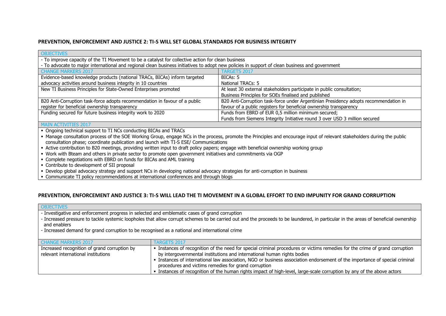#### **PREVENTION, ENFORCEMENT AND JUSTICE 2: TI-S WILL SET GLOBAL STANDARDS FOR BUSINESS INTEGRITY**

| <b>OBJECTIVES</b>                                                                                                                              |                                                                                                                                                                          |  |  |
|------------------------------------------------------------------------------------------------------------------------------------------------|--------------------------------------------------------------------------------------------------------------------------------------------------------------------------|--|--|
| - To improve capacity of the TI Movement to be a catalyst for collective action for clean business                                             |                                                                                                                                                                          |  |  |
| - To advocate to major international and regional clean business initiatives to adopt new policies in support of clean business and government |                                                                                                                                                                          |  |  |
| <b>CHANGE MARKERS 2017</b>                                                                                                                     | <b>TARGETS 2017</b>                                                                                                                                                      |  |  |
| Evidence-based knowledge products (national TRACs, BICAs) inform targeted                                                                      | BICAs: 5                                                                                                                                                                 |  |  |
| advocacy activities around business integrity in 10 countries                                                                                  | National TRACs: 5                                                                                                                                                        |  |  |
| New TI Business Principles for State-Owned Enterprises promoted                                                                                | At least 30 external stakeholders participate in public consultation;                                                                                                    |  |  |
|                                                                                                                                                | Business Principles for SOEs finalised and published                                                                                                                     |  |  |
| B20 Anti-Corruption task-force adopts recommendation in favour of a public                                                                     | B20 Anti-Corruption task-force under Argentinian Presidency adopts recommendation in                                                                                     |  |  |
| register for beneficial ownership transparency                                                                                                 | favour of a public registers for beneficial ownership transparency                                                                                                       |  |  |
| Funding secured for future business integrity work to 2020                                                                                     | Funds from EBRD of EUR 0,5 million minimum secured;                                                                                                                      |  |  |
|                                                                                                                                                | Funds from Siemens Integrity Initiative round 3 over USD 3 million secured                                                                                               |  |  |
| <b>MAIN ACTIVITIES 2017</b>                                                                                                                    |                                                                                                                                                                          |  |  |
| • Ongoing technical support to TI NCs conducting BICAs and TRACs                                                                               |                                                                                                                                                                          |  |  |
|                                                                                                                                                | • Manage consultation process of the SOE Working Group, engage NCs in the process, promote the Principles and encourage input of relevant stakeholders during the public |  |  |
| consultation phase; coordinate publication and launch with TI-S ESE/ Communications                                                            |                                                                                                                                                                          |  |  |
| - Active contribution to B20 meetings, providing written input to draft policy papers; engage with beneficial ownership working group          |                                                                                                                                                                          |  |  |
| . Work with Bteam and others in private sector to promote open government initiatives and commitments via OGP                                  |                                                                                                                                                                          |  |  |
| • Complete negotiations with EBRD on funds for BICAs and AML training                                                                          |                                                                                                                                                                          |  |  |
| • Contribute to development of SII proposal                                                                                                    |                                                                                                                                                                          |  |  |
| . Develop global advocacy strategy and support NCs in developing national advocacy strategies for anti-corruption in business                  |                                                                                                                                                                          |  |  |
| • Communicate TI policy recommendations at international conferences and through blogs                                                         |                                                                                                                                                                          |  |  |

### **PREVENTION, ENFORCEMENT AND JUSTICE 3: TI-S WILL LEAD THE TI MOVEMENT IN A GLOBAL EFFORT TO END IMPUNITY FOR GRAND CORRUPTION**

| <b>OBJECTIVES</b>                                                                                                                                                                                                                                                                                                                                                                                      |                                                                                                                                                                                                                                                                                                                                                                                                                                                                                                                        |  |
|--------------------------------------------------------------------------------------------------------------------------------------------------------------------------------------------------------------------------------------------------------------------------------------------------------------------------------------------------------------------------------------------------------|------------------------------------------------------------------------------------------------------------------------------------------------------------------------------------------------------------------------------------------------------------------------------------------------------------------------------------------------------------------------------------------------------------------------------------------------------------------------------------------------------------------------|--|
| - Investigative and enforcement progress in selected and emblematic cases of grand corruption<br>- Increased pressure to tackle systemic loopholes that allow corrupt schemes to be carried out and the proceeds to be laundered, in particular in the areas of beneficial ownership<br>and enablers<br>- Increased demand for grand corruption to be recognised as a national and international crime |                                                                                                                                                                                                                                                                                                                                                                                                                                                                                                                        |  |
| <b>CHANGE MARKERS 2017</b>                                                                                                                                                                                                                                                                                                                                                                             | <b>FARGETS 2017</b>                                                                                                                                                                                                                                                                                                                                                                                                                                                                                                    |  |
| Increased recognition of grand corruption by<br>relevant international institutions                                                                                                                                                                                                                                                                                                                    | • Instances of recognition of the need for special criminal procedures or victims remedies for the crime of grand corruption<br>by intergovernmental institutions and international human rights bodies<br>Instances of international law association, NGO or business association endorsement of the importance of special criminal<br>procedures and victims remedies for grand corruption<br>. Instances of recognition of the human rights impact of high-level, large-scale corruption by any of the above actors |  |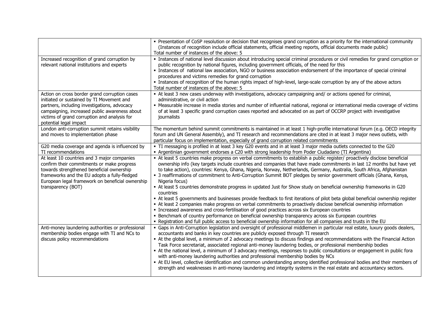|                                                                                                                                                                                                                                                                       | • Presentation of CoSP resolution or decision that recognises grand corruption as a priority for the international community<br>(Instances of recognition include official statements, official meeting reports, official documents made public)<br>Total number of instances of the above: 5                                                                                                                                                                                                                                                                                                                                                                                                                                                                                                                                                                                                                                                                                                                                                                                                                                                                                                                                                       |
|-----------------------------------------------------------------------------------------------------------------------------------------------------------------------------------------------------------------------------------------------------------------------|-----------------------------------------------------------------------------------------------------------------------------------------------------------------------------------------------------------------------------------------------------------------------------------------------------------------------------------------------------------------------------------------------------------------------------------------------------------------------------------------------------------------------------------------------------------------------------------------------------------------------------------------------------------------------------------------------------------------------------------------------------------------------------------------------------------------------------------------------------------------------------------------------------------------------------------------------------------------------------------------------------------------------------------------------------------------------------------------------------------------------------------------------------------------------------------------------------------------------------------------------------|
| Increased recognition of grand corruption by<br>relevant national institutions and experts                                                                                                                                                                            | · Instances of national level discussion about introducing special criminal procedures or civil remedies for grand corruption or<br>public recognition by national figures, including government officials, of the need for this<br>· Instances of national law association, NGO or business association endorsement of the importance of special criminal<br>procedures and victims remedies for grand corruption<br>Instances of recognition of the human rights impact of high-level, large-scale corruption by any of the above actors<br>Total number of instances of the above: 5                                                                                                                                                                                                                                                                                                                                                                                                                                                                                                                                                                                                                                                             |
| Action on cross border grand corruption cases<br>initiated or sustained by TI Movement and<br>partners, including investigations, advocacy<br>campaigning, increased public awareness about<br>victims of grand corruption and analysis for<br>potential legal impact | - At least 3 new cases underway with investigations, advocacy campaigning and/ or actions opened for criminal,<br>administrative, or civil action<br>- Measurable increase in media stories and number of influential national, regional or international media coverage of victims<br>of at least 3 specific grand corruption cases reported and advocated on as part of OCCRP project with investigative<br>journalists                                                                                                                                                                                                                                                                                                                                                                                                                                                                                                                                                                                                                                                                                                                                                                                                                           |
| London anti-corruption summit retains visibility<br>and moves to implementation phase                                                                                                                                                                                 | The momentum behind summit commitments is maintained in at least 1 high-profile international forum (e.g. OECD integrity<br>forum and UN General Assembly), and TI research and recommendations are cited in at least 3 major news outlets, with<br>particular focus on implementation, especially of grand corruption related commitments                                                                                                                                                                                                                                                                                                                                                                                                                                                                                                                                                                                                                                                                                                                                                                                                                                                                                                          |
| G20 media coverage and agenda is influenced by<br>TI recommendations                                                                                                                                                                                                  | • TI messaging is profiled in at least 3 key G20 events and in at least 3 major media outlets connected to the G20<br>Argentinian government endorses a C20 with strong leadership from Poder Ciudadano (TI Argentina)                                                                                                                                                                                                                                                                                                                                                                                                                                                                                                                                                                                                                                                                                                                                                                                                                                                                                                                                                                                                                              |
| At least 10 countries and 3 major companies<br>confirm their commitments or make progress<br>towards strengthened beneficial ownership<br>frameworks and the EU adopts a fully-fledged<br>European legal framework on beneficial ownership<br>transparency (BOT)      | - At least 5 countries make progress on verbal commitments to establish a public register/ proactively disclose beneficial<br>ownership info (key targets include countries and companies that have made commitments in last 12 months but have yet<br>to take action), countries: Kenya, Ghana, Nigeria, Norway, Netherlands, Germany, Australia, South Africa, Afghanistan<br>• 3 reaffirmations of commitment to Anti-Corruption Summit BOT pledges by senior government officials (Ghana, Kenya,<br>Nigeria focus)<br>• At least 5 countries demonstrate progress in updated Just for Show study on beneficial ownership frameworks in G20<br>countries<br>- At least 5 governments and businesses provide feedback to first iterations of pilot beta global beneficial ownership register<br>• At least 2 companies make progress on verbal commitments to proactively disclose beneficial ownership information<br>• Increased awareness and cross-fertilisation of good practices across six European countries<br>• Benchmark of country performance on beneficial ownership transparency across six European countries<br>- Registration and full public access to beneficial ownership information for all companies and trusts in the EU |
| Anti-money laundering authorities or professional<br>membership bodies engage with TI and NCs to<br>discuss policy recommendations                                                                                                                                    | • Gaps in Anti-Corruption legislation and oversight of professional middlemen in particular real estate, luxury goods dealers,<br>accountants and banks in key countries are publicly exposed through TI research<br>At the global level, a minimum of 2 advocacy meetings to discuss findings and recommendations with the Financial Action<br>Task Force secretariat, associated regional anti-money laundering bodies, or professional membership bodies<br>At the national level, a minimum of 3 advocacy meetings, responses to public consultations or engagement in public fora<br>with anti-money laundering authorities and professional membership bodies by NCs<br>• At EU level, collective identification and common understanding among identified professional bodies and their members of<br>strength and weaknesses in anti-money laundering and integrity systems in the real estate and accountancy sectors.                                                                                                                                                                                                                                                                                                                     |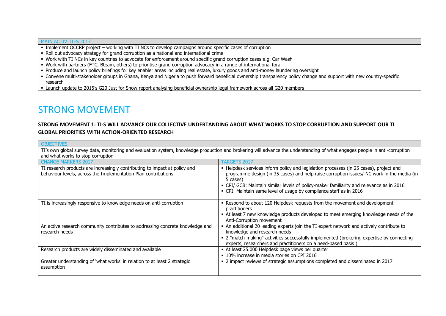#### MAIN ACTIVITIES 2017

**OBJECTIVES** 

- Implement OCCRP project working with TI NCs to develop campaigns around specific cases of corruption
- Roll out advocacy strategy for grand corruption as a national and international crime
- Work with TI NCs in key countries to advocate for enforcement around specific grand corruption cases e.g. Car Wash
- Work with partners (FTC, Bteam, others) to prioritise grand corruption advocacy in a range of international fora
- Produce and launch policy briefings for key enabler areas including real estate, luxury goods and anti-money laundering oversight
- Convene multi-stakeholder groups in Ghana, Kenya and Nigeria to push forward beneficial ownership transparency policy change and support with new country-specific research
- Launch update to 2015's G20 Just for Show report analysing beneficial ownership legal framework across all G20 members

# STRONG MOVEMENT

### **STRONG MOVEMENT 1: TI-S WILL ADVANCE OUR COLLECTIVE UNDERTANDING ABOUT WHAT WORKS TO STOP CORRUPTION AND SUPPORT OUR TI GLOBAL PRIORITIES WITH ACTION-ORIENTED RESEARCH**

TI's own global survey data, monitoring and evaluation system, knowledge production and brokering will advance the understanding of what engages people in anti-corruption and what works to stop corruption

| and mac mones to stop contaption                                              |                                                                                           |
|-------------------------------------------------------------------------------|-------------------------------------------------------------------------------------------|
| <b>CHANGE MARKERS 2017</b>                                                    | <b>TARGETS 2017</b>                                                                       |
| TI research products are increasingly contributing to impact at policy and    | • Helpdesk services inform policy and legislation processes (in 25 cases), project and    |
| behaviour levels, across the Implementation Plan contributions                | programme design (in 35 cases) and help raise corruption issues/ NC work in the media (in |
|                                                                               | 5 cases)                                                                                  |
|                                                                               | • CPI/ GCB: Maintain similar levels of policy-maker familiarity and relevance as in 2016  |
|                                                                               | • CPI: Maintain same level of usage by compliance staff as in 2016                        |
|                                                                               |                                                                                           |
| TI is increasingly responsive to knowledge needs on anti-corruption           | Respond to about 120 Helpdesk requests from the movement and development                  |
|                                                                               | practitioners                                                                             |
|                                                                               | • At least 7 new knowledge products developed to meet emerging knowledge needs of the     |
|                                                                               | Anti-Corruption movement                                                                  |
| An active research community contributes to addressing concrete knowledge and | • An additional 20 leading experts join the TI expert network and actively contribute to  |
| research needs                                                                | knowledge and research needs                                                              |
|                                                                               | - 2 "match-making" activities successfully implemented (brokering expertise by connecting |
|                                                                               | experts, researchers and practitioners on a need-based basis                              |
| Research products are widely disseminated and available                       | - At least 25.000 Helpdesk page views per quarter                                         |
|                                                                               | • 10% increase in media stories on CPI 2016                                               |
| Greater understanding of 'what works' in relation to at least 2 strategic     | - 2 impact reviews of strategic assumptions completed and disseminated in 2017            |
| assumption                                                                    |                                                                                           |
|                                                                               |                                                                                           |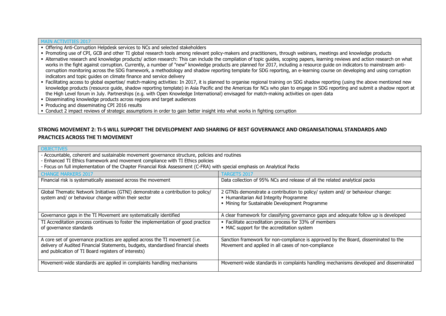#### MAIN ACTIVITIES 2017

- Offering Anti-Corruption Helpdesk services to NCs and selected stakeholders
- Promoting use of CPI, GCB and other TI global research tools among relevant policy-makers and practitioners, through webinars, meetings and knowledge products
- Alternative research and knowledge products/ action research: This can include the compilation of topic guides, scoping papers, learning reviews and action research on what works in the fight against corruption. Currently, a number of "new" knowledge products are planned for 2017, including a resource guide on indicators to mainstream anticorruption monitoring across the SDG framework, a methodology and shadow reporting template for SDG reporting, an e-learning course on developing and using corruption indicators and topic guides on climate finance and service delivery
- Facilitating access to global expertise/ match-making activities: In 2017, it is planned to organise regional training on SDG shadow reporting (using the above mentioned new knowledge products (resource guide, shadow reporting template) in Asia Pacific and the Americas for NCs who plan to engage in SDG reporting and submit a shadow report at the High Level forum in July. Partnerships (e.g. with Open Knowledge International) envisaged for match-making activities on open data
- Disseminating knowledge products across regions and target audiences
- Producing and disseminating CPI 2016 results

Conduct 2 impact reviews of strategic assumptions in order to gain better insight into what works in fighting corruption

### **STRONG MOVEMENT 2: TI-S WILL SUPPORT THE DEVELOPMENT AND SHARING OF BEST GOVERNANCE AND ORGANISATIONAL STANDARDS AND PRACTICES ACROSS THE TI MOVEMENT**

| <b>OBJECTIVES</b>                                                                                                                                                                                                                                                                                           |                                                                                                                                                                            |  |
|-------------------------------------------------------------------------------------------------------------------------------------------------------------------------------------------------------------------------------------------------------------------------------------------------------------|----------------------------------------------------------------------------------------------------------------------------------------------------------------------------|--|
| - Accountable, coherent and sustainable movement governance structure, policies and routines<br>- Enhanced TI Ethics framework and movement compliance with TI Ethics policies<br>- Focus on full implementation of the Chapter Financial Risk Assessment (C-FRA) with special emphasis on Analytical Packs |                                                                                                                                                                            |  |
| <b>CHANGE MARKERS 2017</b>                                                                                                                                                                                                                                                                                  | <b>TARGETS 2017</b>                                                                                                                                                        |  |
| Financial risk is systematically assessed across the movement                                                                                                                                                                                                                                               | Data collection of 95% NCs and release of all the related analytical packs                                                                                                 |  |
| Global Thematic Network Initiatives (GTNI) demonstrate a contribution to policy/<br>system and/ or behaviour change within their sector                                                                                                                                                                     | 2 GTNIs demonstrate a contribution to policy/ system and/ or behaviour change:<br>• Humanitarian Aid Integrity Programme<br>• Mining for Sustainable Development Programme |  |
| Governance gaps in the TI Movement are systematically identified                                                                                                                                                                                                                                            | A clear framework for classifying governance gaps and adequate follow up is developed                                                                                      |  |
| TI Accreditation process continues to foster the implementation of good practice<br>of governance standards                                                                                                                                                                                                 | • Facilitate accreditation process for 33% of members<br>• MAC support for the accreditation system                                                                        |  |
| A core set of governance practices are applied across the TI movement (i.e.<br>delivery of Audited Financial Statements, budgets, standardised financial sheets<br>and publication of TI Board registers of interests)                                                                                      | Sanction framework for non-compliance is approved by the Board, disseminated to the<br>Movement and applied in all cases of non-compliance                                 |  |
| Movement-wide standards are applied in complaints handling mechanisms                                                                                                                                                                                                                                       | Movement-wide standards in complaints handling mechanisms developed and disseminated                                                                                       |  |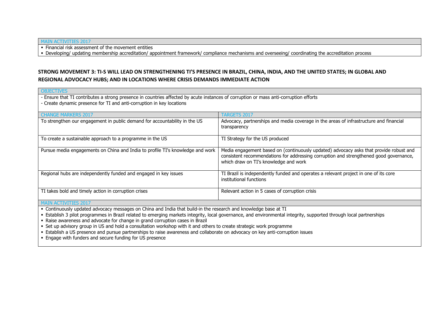#### MAIN ACTIVITIES 2017

• Financial risk assessment of the movement entities

Developing/ updating membership accreditation/ appointment framework/ compliance mechanisms and overseeing/ coordinating the accreditation process

### **STRONG MOVEMENT 3: TI-S WILL LEAD ON STRENGTHENING TI'S PRESENCE IN BRAZIL, CHINA, INDIA, AND THE UNITED STATES; IN GLOBAL AND REGIONAL ADVOCACY HUBS; AND IN LOCATIONS WHERE CRISIS DEMANDS IMMEDIATE ACTION**

| <b>OBJECTIVES</b>                                                                                                                     |                                                                                                                                                                                                                           |
|---------------------------------------------------------------------------------------------------------------------------------------|---------------------------------------------------------------------------------------------------------------------------------------------------------------------------------------------------------------------------|
| - Ensure that TI contributes a strong presence in countries affected by acute instances of corruption or mass anti-corruption efforts |                                                                                                                                                                                                                           |
| - Create dynamic presence for TI and anti-corruption in key locations                                                                 |                                                                                                                                                                                                                           |
|                                                                                                                                       |                                                                                                                                                                                                                           |
| <b>CHANGE MARKERS 2017</b>                                                                                                            | <b>TARGETS 2017</b>                                                                                                                                                                                                       |
| To strengthen our engagement in public demand for accountability in the US                                                            | Advocacy, partnerships and media coverage in the areas of infrastructure and financial<br>transparency                                                                                                                    |
| To create a sustainable approach to a programme in the US                                                                             | TI Strategy for the US produced                                                                                                                                                                                           |
| Pursue media engagements on China and India to profile TI's knowledge and work                                                        | Media engagement based on (continuously updated) advocacy asks that provide robust and<br>consistent recommendations for addressing corruption and strengthened good governance,<br>which draw on TI's knowledge and work |
| Regional hubs are independently funded and engaged in key issues                                                                      | TI Brazil is independently funded and operates a relevant project in one of its core<br>institutional functions                                                                                                           |
| TI takes bold and timely action in corruption crises                                                                                  | Relevant action in 5 cases of corruption crisis                                                                                                                                                                           |
| <b>MAIN ACTIVITIES 2017</b>                                                                                                           |                                                                                                                                                                                                                           |

Continuously updated advocacy messages on China and India that build-in the research and knowledge base at TI

Establish 3 pilot programmes in Brazil related to emerging markets integrity, local governance, and environmental integrity, supported through local partnerships

Raise awareness and advocate for change in grand corruption cases in Brazil

Set up advisory group in US and hold a consultation workshop with it and others to create strategic work programme

Establish a US presence and pursue partnerships to raise awareness and collaborate on advocacy on key anti-corruption issues

Engage with funders and secure funding for US presence